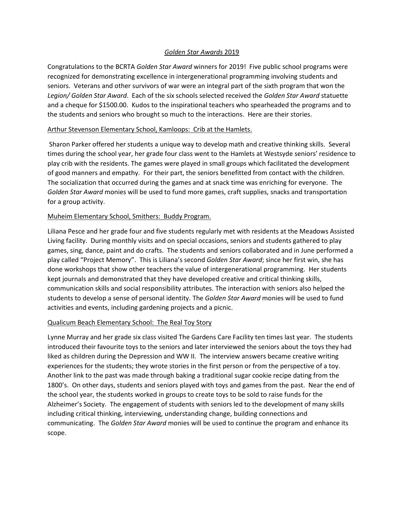# *Golden Star Awards* 2019

Congratulations to the BCRTA *Golden Star Award* winners for 2019! Five public school programs were recognized for demonstrating excellence in intergenerational programming involving students and seniors. Veterans and other survivors of war were an integral part of the sixth program that won the *Legion/ Golden Star Award*. Each of the six schools selected received the *Golden Star Award* statuette and a cheque for \$1500.00. Kudos to the inspirational teachers who spearheaded the programs and to the students and seniors who brought so much to the interactions. Here are their stories.

### Arthur Stevenson Elementary School, Kamloops: Crib at the Hamlets.

Sharon Parker offered her students a unique way to develop math and creative thinking skills. Several times during the school year, her grade four class went to the Hamlets at Westsyde seniors' residence to play crib with the residents. The games were played in small groups which facilitated the development of good manners and empathy. For their part, the seniors benefitted from contact with the children. The socialization that occurred during the games and at snack time was enriching for everyone. The *Golden Star Award* monies will be used to fund more games, craft supplies, snacks and transportation for a group activity.

# Muheim Elementary School, Smithers: Buddy Program.

Liliana Pesce and her grade four and five students regularly met with residents at the Meadows Assisted Living facility. During monthly visits and on special occasions, seniors and students gathered to play games, sing, dance, paint and do crafts. The students and seniors collaborated and in June performed a play called "Project Memory". This is Liliana's second *Golden Star Award*; since her first win, she has done workshops that show other teachers the value of intergenerational programming. Her students kept journals and demonstrated that they have developed creative and critical thinking skills, communication skills and social responsibility attributes. The interaction with seniors also helped the students to develop a sense of personal identity. The *Golden Star Award* monies will be used to fund activities and events, including gardening projects and a picnic.

# Qualicum Beach Elementary School: The Real Toy Story

Lynne Murray and her grade six class visited The Gardens Care Facility ten times last year. The students introduced their favourite toys to the seniors and later interviewed the seniors about the toys they had liked as children during the Depression and WW II. The interview answers became creative writing experiences for the students; they wrote stories in the first person or from the perspective of a toy. Another link to the past was made through baking a traditional sugar cookie recipe dating from the 1800's. On other days, students and seniors played with toys and games from the past. Near the end of the school year, the students worked in groups to create toys to be sold to raise funds for the Alzheimer's Society. The engagement of students with seniors led to the development of many skills including critical thinking, interviewing, understanding change, building connections and communicating. The *Golden Star Award* monies will be used to continue the program and enhance its scope.